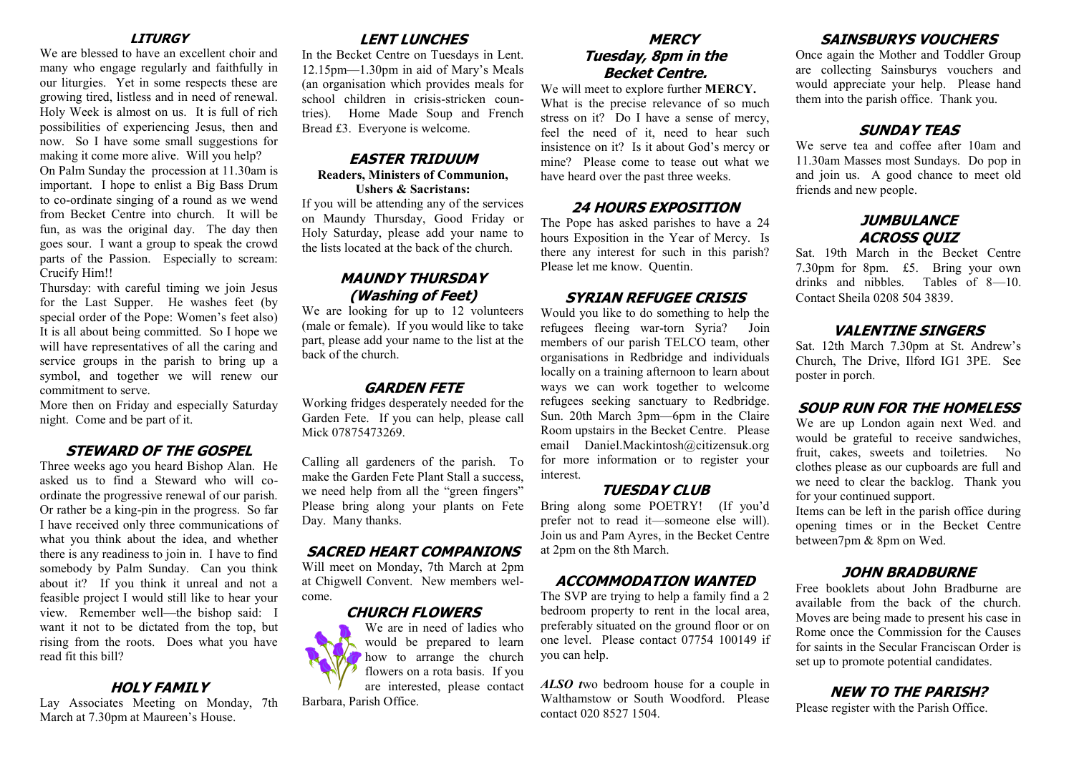### **LITURGY**

We are blessed to have an excellent choir and many who engage regularly and faithfully in our liturgies. Yet in some respects these are growing tired, listless and in need of renewal. Holy Week is almost on us. It is full of rich possibilities of experiencing Jesus, then and now. So I have some small suggestions for making it come more alive. Will you help?

On Palm Sunday the procession at 11.30am is important. I hope to enlist a Big Bass Drum to co-ordinate singing of a round as we wend from Becket Centre into church. It will be fun, as was the original day. The day then goes sour. I want a group to speak the crowd parts of the Passion. Especially to scream: Crucify Him!!

Thursday: with careful timing we join Jesus for the Last Supper. He washes feet (by special order of the Pope: Women's feet also) It is all about being committed. So I hope we will have representatives of all the caring and service groups in the parish to bring up a symbol, and together we will renew our commitment to serve.

More then on Friday and especially Saturday night. Come and be part of it.

## **STEWARD OF THE GOSPEL**

Three weeks ago you heard Bishop Alan. He asked us to find a Steward who will coordinate the progressive renewal of our parish. Or rather be a king-pin in the progress. So far I have received only three communications of what you think about the idea, and whether there is any readiness to join in. I have to find somebody by Palm Sunday. Can you think about it? If you think it unreal and not a feasible project I would still like to hear your view. Remember well—the bishop said: I want it not to be dictated from the top, but rising from the roots. Does what you have read fit this bill?

## **HOLY FAMILY**

Lay Associates Meeting on Monday, 7th March at 7.30pm at Maureen's House.

## **LENT LUNCHES**

In the Becket Centre on Tuesdays in Lent. 12.15pm—1.30pm in aid of Mary's Meals (an organisation which provides meals for school children in crisis-stricken countries). Home Made Soup and French Bread £3. Everyone is welcome.

## **EASTER TRIDUUM**

# **Readers, Ministers of Communion,**

**Ushers & Sacristans:** 

If you will be attending any of the services on Maundy Thursday, Good Friday or Holy Saturday, please add your name to the lists located at the back of the church.

## **MAUNDY THURSDAY (Washing of Feet)**

We are looking for up to 12 volunteers (male or female). If you would like to take part, please add your name to the list at the back of the church.

## **GARDEN FETE**

Working fridges desperately needed for the Garden Fete. If you can help, please call Mick 07875473269.

Calling all gardeners of the parish. To make the Garden Fete Plant Stall a success, we need help from all the "green fingers" Please bring along your plants on Fete Day. Many thanks.

## **SACRED HEART COMPANIONS**

Will meet on Monday, 7th March at 2pm at Chigwell Convent. New members welcome.

## **CHURCH FLOWERS**

We are in need of ladies who would be prepared to learn how to arrange the church flowers on a rota basis. If you are interested, please contact Barbara, Parish Office.

## **MERCY Tuesday, 8pm in the Becket Centre.**

We will meet to explore further **MERCY.** What is the precise relevance of so much stress on it? Do I have a sense of mercy, feel the need of it, need to hear such insistence on it? Is it about God's mercy or mine? Please come to tease out what we have heard over the past three weeks.

# **24 HOURS EXPOSITION**

The Pope has asked parishes to have a 24 hours Exposition in the Year of Mercy. Is there any interest for such in this parish? Please let me know. Quentin.

## **SYRIAN REFUGEE CRISIS**

Would you like to do something to help the refugees fleeing war-torn Syria? Join members of our parish TELCO team, other organisations in Redbridge and individuals locally on a training afternoon to learn about ways we can work together to welcome refugees seeking sanctuary to Redbridge. Sun. 20th March 3pm—6pm in the Claire Room upstairs in the Becket Centre. Please email Daniel.Mackintosh@citizensuk.org for more information or to register your interest.

## **TUESDAY CLUB**

Bring along some POETRY! (If you'd prefer not to read it—someone else will). Join us and Pam Ayres, in the Becket Centre at 2pm on the 8th March.

# **ACCOMMODATION WANTED**

The SVP are trying to help a family find a 2 bedroom property to rent in the local area, preferably situated on the ground floor or on one level. Please contact 07754 100149 if you can help.

*ALSO t*wo bedroom house for a couple in Walthamstow or South Woodford. Please contact 020 8527 1504.

# **SAINSBURYS VOUCHERS**

Once again the Mother and Toddler Group are collecting Sainsburys vouchers and would appreciate your help. Please hand them into the parish office. Thank you.

# **SUNDAY TEAS**

We serve tea and coffee after 10am and 11.30am Masses most Sundays. Do pop in and join us. A good chance to meet old friends and new people.

# **JUMBULANCE ACROSS QUIZ**

Sat. 19th March in the Becket Centre 7.30pm for 8pm. £5. Bring your own drinks and nibbles. Tables of 8—10. Contact Sheila 0208 504 3839.

# **VALENTINE SINGERS**

Sat. 12th March 7.30pm at St. Andrew's Church, The Drive, Ilford IG1 3PE. See poster in porch.

# **SOUP RUN FOR THE HOMELESS**

We are up London again next Wed. and would be grateful to receive sandwiches, fruit, cakes, sweets and toiletries. No clothes please as our cupboards are full and we need to clear the backlog. Thank you for your continued support.

Items can be left in the parish office during opening times or in the Becket Centre between7pm & 8pm on Wed.

# **JOHN BRADBURNE**

Free booklets about John Bradburne are available from the back of the church. Moves are being made to present his case in Rome once the Commission for the Causes for saints in the Secular Franciscan Order is set up to promote potential candidates.

# **NEW TO THE PARISH?**

Please register with the Parish Office.